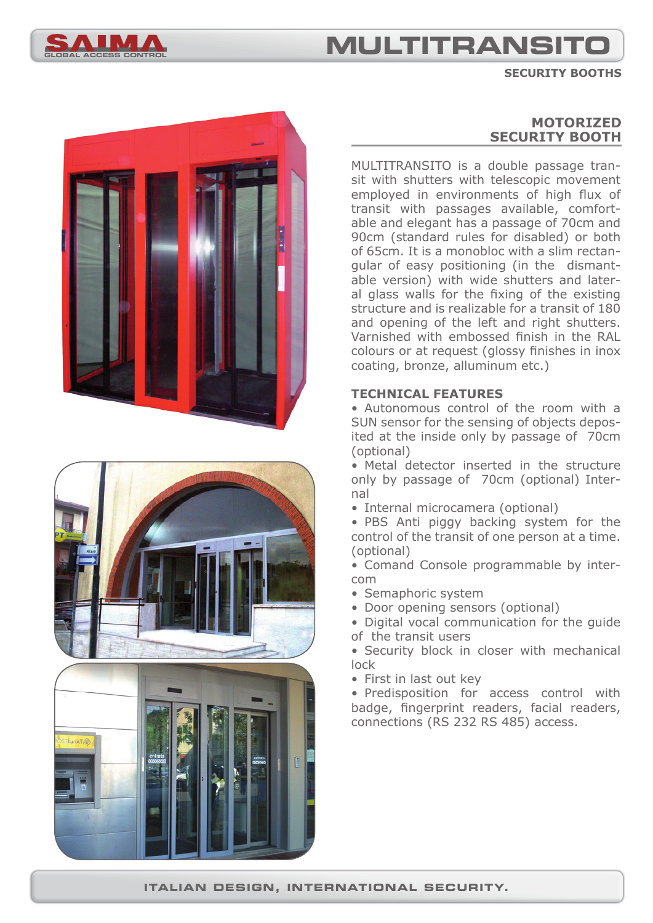

# **GLOBAL ACCESS CONTROL MULTITRANSITO**

**SECURITY BOOTHS**





### **MOTORIZED SECURITY BOOTH**

MULTITRANSITO is a double passage transit with shutters with telescopic movement employed in environments of high flux of transit with passages available, comfortable and elegant has a passage of 70cm and 90cm (standard rules for disabled) or both of 65cm. It is a monobloc with a slim rectangular of easy positioning (in the dismantable version) with wide shutters and lateral glass walls for the fixing of the existing structure and is realizable for a transit of 180 and opening of the left and right shutters. Varnished with embossed finish in the RAL colours or at request (glossy finishes in inox coating, bronze, alluminum etc.)

### **TECHNICAL FEATURES**

• Autonomous control of the room with a SUN sensor for the sensing of objects deposited at the inside only by passage of 70cm (optional)

• Metal detector inserted in the structure only by passage of 70cm (optional) Internal

• Internal microcamera (optional)

• PBS Anti piggy backing system for the control of the transit of one person at a time. (optional)

• Comand Console programmable by intercom

- Semaphoric system
- Door opening sensors (optional)

• Digital vocal communication for the guide of the transit users

• Security block in closer with mechanical lock

• First in last out key

• Predisposition for access control with badge, fingerprint readers, facial readers, connections (RS 232 RS 485) access.